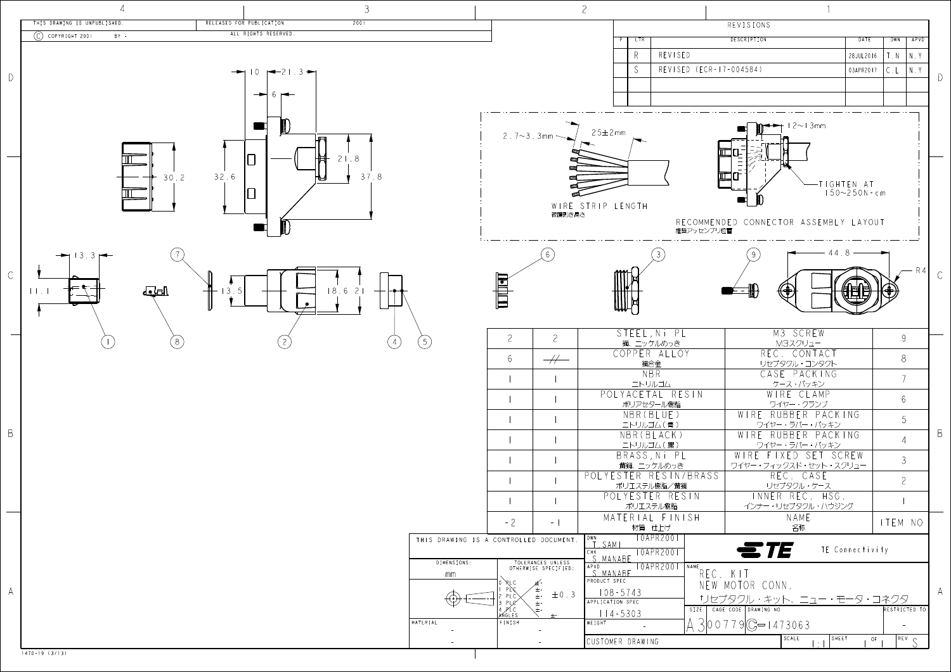

|                | THIS DRAWING IS UNPUBLISHED.   | RELEASED FOR PUBLICATION<br>2001                  |                                        |                                           |                                      | REVISIONS                                           |                   |                |
|----------------|--------------------------------|---------------------------------------------------|----------------------------------------|-------------------------------------------|--------------------------------------|-----------------------------------------------------|-------------------|----------------|
|                | $(C)$ COPYRIGHT 2001<br>$BY -$ | ALL RIGHTS RESERVED.                              |                                        |                                           | LTR                                  | DESCRIPTION                                         | DATE              | DWN   APVD     |
|                |                                |                                                   |                                        |                                           | REVISED<br>-R                        |                                                     | 28JUL 2016        | N.,<br>. N     |
|                |                                | $\rightarrow$ 10 $\rightarrow$ 21.3 $\rightarrow$ |                                        |                                           | S                                    | REVISED (ECR-17-004584)                             | 03APR2017         | N.Y            |
| $\bigcap$      |                                |                                                   |                                        |                                           |                                      |                                                     |                   |                |
|                |                                |                                                   |                                        |                                           |                                      |                                                     |                   |                |
|                |                                |                                                   |                                        |                                           |                                      |                                                     |                   |                |
|                |                                |                                                   |                                        |                                           |                                      |                                                     |                   |                |
|                |                                |                                                   |                                        | $2.7 - 3.3$ mm                            | $25 \pm 2$ mm                        | $\rightarrow$ 12~13mm                               |                   |                |
|                |                                |                                                   |                                        |                                           |                                      |                                                     |                   |                |
|                |                                | . 8                                               |                                        |                                           |                                      | 囸                                                   |                   |                |
|                | 30.2                           | 32.6<br>37.8                                      |                                        |                                           |                                      | 匝                                                   |                   |                |
|                |                                |                                                   |                                        |                                           |                                      |                                                     | -TIGHTEN AT       |                |
|                |                                |                                                   |                                        |                                           |                                      |                                                     | $150 - 250N - cm$ |                |
|                |                                |                                                   |                                        | 被覆剥き長さ                                    | WIRE STRIP LENGTH                    |                                                     |                   |                |
|                |                                |                                                   |                                        |                                           |                                      | RECOMMENDED CONNECTOR ASSEMBLY LAYOUT<br>推奨アッセンブリ位置 |                   |                |
|                |                                |                                                   |                                        |                                           |                                      |                                                     |                   |                |
|                |                                |                                                   |                                        |                                           |                                      |                                                     |                   |                |
|                |                                |                                                   |                                        |                                           |                                      |                                                     |                   |                |
| $\mathsf{C}$   |                                |                                                   |                                        |                                           |                                      |                                                     |                   |                |
|                | पर्नमा<br>11.1                 | 18.621<br>3.5                                     |                                        | to                                        |                                      | (♦)                                                 |                   |                |
|                |                                |                                                   |                                        |                                           |                                      |                                                     |                   |                |
|                |                                |                                                   |                                        |                                           |                                      |                                                     |                   |                |
|                |                                |                                                   |                                        | $\overline{2}$<br>$\mathcal{Z}$           | STEEL, Ni PL                         | M3 SCREW                                            |                   | $9 -$          |
|                |                                |                                                   | 5 <sub>o</sub>                         |                                           | 鋼、ニッケルめっき<br>COPPER ALLOY            | M3スクリュー<br>REC. CONTACT                             |                   |                |
|                |                                |                                                   |                                        | $\overline{\mathscr{H}}$<br>6             | 銅合金                                  | リセプタクル・コンタクト                                        |                   | 8 <sup>°</sup> |
|                |                                |                                                   |                                        |                                           | NBR                                  | CASE PACKING                                        |                   |                |
|                |                                |                                                   |                                        |                                           | ニトリルゴム<br>POLYACETAL RESIN           | ケース・パッキン<br>WIRE CLAMP                              |                   |                |
|                |                                |                                                   |                                        |                                           | ポリアセタール樹脂                            | ワイヤー・クランプ                                           |                   | 6 <sup>1</sup> |
|                |                                |                                                   |                                        |                                           | NBR(BLUE)                            | WIRE RUBBER PACKING                                 |                   | 5 <sup>1</sup> |
| B              |                                |                                                   |                                        |                                           | ニトリルゴム(青)<br>NBR (BLACK)             | ワイヤー・ラバー・パッキン<br>WIRE RUBBER PACKING                |                   |                |
|                |                                |                                                   |                                        |                                           | ニトリルゴム(黒)                            | ワイヤー・ラバー・パッキン                                       |                   | $\overline{4}$ |
|                |                                |                                                   |                                        |                                           | BRASS, Ni PL                         | WIRE FIXED SET SCREW                                |                   | 3 <sup>7</sup> |
|                |                                |                                                   |                                        |                                           | 黄銅、ニッケルめっき<br>POLYESTER RESIN/BRASS  | ワイヤー・フィックスド・セット・スクリュー<br>REC. CASE                  |                   |                |
|                |                                |                                                   |                                        |                                           | ポリエステル樹脂/黄銅                          | リセプタクル・ケース                                          |                   | $\mathcal{Z}$  |
|                |                                |                                                   |                                        |                                           | POLYESTER RESIN                      | INNER REC. HSG.                                     |                   |                |
|                |                                |                                                   |                                        |                                           | ポリエステル樹脂<br>MATERIAL FINISH          | インナー・リセプタクル・ハウジング<br>NAME                           |                   |                |
|                |                                |                                                   |                                        | $-2$<br>$ \vert$                          | 材質 仕上げ                               | 名称                                                  |                   | ITEM NO        |
|                |                                |                                                   | THIS DRAWING IS A CONTROLLED DOCUMENT. |                                           | 10APR2001<br>DWN<br>T.SAMI           |                                                     |                   |                |
|                |                                |                                                   |                                        |                                           | <b>TOAPR2001</b><br>СНК<br>S. MANABE | ETE                                                 | TE Connectivity   |                |
|                |                                |                                                   | DIMENSIONS:                            | TOLERANCES UNLESS<br>OTHERWISE SPECIFIED: | TOAPR2001 NAME<br>APVD               |                                                     |                   |                |
|                |                                |                                                   | mm                                     |                                           | S. MANABE<br>PRODUCT SPEC            | REC. KIT<br>NEW MOTOR CONN.                         |                   |                |
| $\mathsf{A}^-$ |                                |                                                   |                                        | $\pm$ 0.3<br>PLC                          | $108 - 5743$                         | サセプタクル・キット、ニュー・モータ・コネクター                            |                   |                |
|                |                                |                                                   |                                        | $\pm$ -                                   | APPLICATION SPEC                     | SIZE   CAGE CODE   DRAWING NO                       |                   | RESTRICTED TO  |
|                |                                |                                                   | MATERIAL                               | ×ŃGLES<br>FINISH                          | $114 - 5303$<br>WEIGHT<br>$\sim$ $-$ | $300779C = 1473063$                                 |                   | $\sim$         |
|                |                                |                                                   |                                        |                                           |                                      | SCALE                                               | $ $ SHEET<br>OF   | $REV$ $C$      |
|                | $1470 - 19(3/13)$              |                                                   |                                        |                                           | CUSTOMER DRAWING                     |                                                     |                   |                |